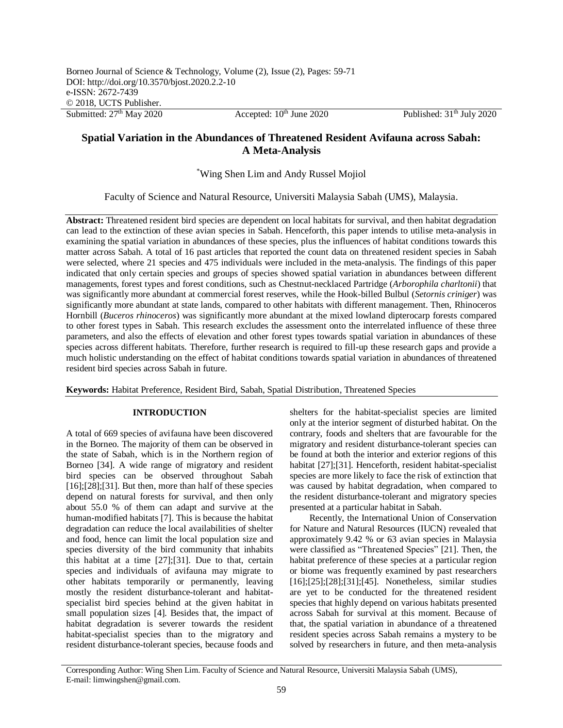Submitted:  $27<sup>th</sup>$  May 2020 Accepted:  $10<sup>th</sup>$  June 2020 Published:  $31<sup>th</sup>$  July 2020

# **Spatial Variation in the Abundances of Threatened Resident Avifauna across Sabah: A Meta-Analysis**

\*Wing Shen Lim and Andy Russel Mojiol

Faculty of Science and Natural Resource, Universiti Malaysia Sabah (UMS), Malaysia.

**Abstract:** Threatened resident bird species are dependent on local habitats for survival, and then habitat degradation can lead to the extinction of these avian species in Sabah. Henceforth, this paper intends to utilise meta-analysis in examining the spatial variation in abundances of these species, plus the influences of habitat conditions towards this matter across Sabah. A total of 16 past articles that reported the count data on threatened resident species in Sabah were selected, where 21 species and 475 individuals were included in the meta-analysis. The findings of this paper indicated that only certain species and groups of species showed spatial variation in abundances between different managements, forest types and forest conditions, such as Chestnut-necklaced Partridge (*Arborophila charltonii*) that was significantly more abundant at commercial forest reserves, while the Hook-billed Bulbul (*Setornis criniger*) was significantly more abundant at state lands, compared to other habitats with different management. Then, Rhinoceros Hornbill (*Buceros rhinoceros*) was significantly more abundant at the mixed lowland dipterocarp forests compared to other forest types in Sabah. This research excludes the assessment onto the interrelated influence of these three parameters, and also the effects of elevation and other forest types towards spatial variation in abundances of these species across different habitats. Therefore, further research is required to fill-up these research gaps and provide a much holistic understanding on the effect of habitat conditions towards spatial variation in abundances of threatened resident bird species across Sabah in future.

**Keywords:** Habitat Preference, Resident Bird, Sabah, Spatial Distribution, Threatened Species

## **INTRODUCTION**

A total of 669 species of avifauna have been discovered in the Borneo. The majority of them can be observed in the state of Sabah, which is in the Northern region of Borneo [34]. A wide range of migratory and resident bird species can be observed throughout Sabah  $[16]$ ; $[28]$ ; $[31]$ . But then, more than half of these species depend on natural forests for survival, and then only about 55.0 % of them can adapt and survive at the human-modified habitats [7]. This is because the habitat degradation can reduce the local availabilities of shelter and food, hence can limit the local population size and species diversity of the bird community that inhabits this habitat at a time [27];[31]. Due to that, certain species and individuals of avifauna may migrate to other habitats temporarily or permanently, leaving mostly the resident disturbance-tolerant and habitatspecialist bird species behind at the given habitat in small population sizes [4]. Besides that, the impact of habitat degradation is severer towards the resident habitat-specialist species than to the migratory and resident disturbance-tolerant species, because foods and

shelters for the habitat-specialist species are limited only at the interior segment of disturbed habitat. On the contrary, foods and shelters that are favourable for the migratory and resident disturbance-tolerant species can be found at both the interior and exterior regions of this habitat [27];[31]. Henceforth, resident habitat-specialist species are more likely to face the risk of extinction that was caused by habitat degradation, when compared to the resident disturbance-tolerant and migratory species presented at a particular habitat in Sabah.

Recently, the International Union of Conservation for Nature and Natural Resources (IUCN) revealed that approximately 9.42 % or 63 avian species in Malaysia were classified as "Threatened Species" [21]. Then, the habitat preference of these species at a particular region or biome was frequently examined by past researchers [16];[25];[28];[31];[45]. Nonetheless, similar studies are yet to be conducted for the threatened resident species that highly depend on various habitats presented across Sabah for survival at this moment. Because of that, the spatial variation in abundance of a threatened resident species across Sabah remains a mystery to be solved by researchers in future, and then meta-analysis

Corresponding Author: Wing Shen Lim. Faculty of Science and Natural Resource, Universiti Malaysia Sabah (UMS), E-mail: limwingshen@gmail.com.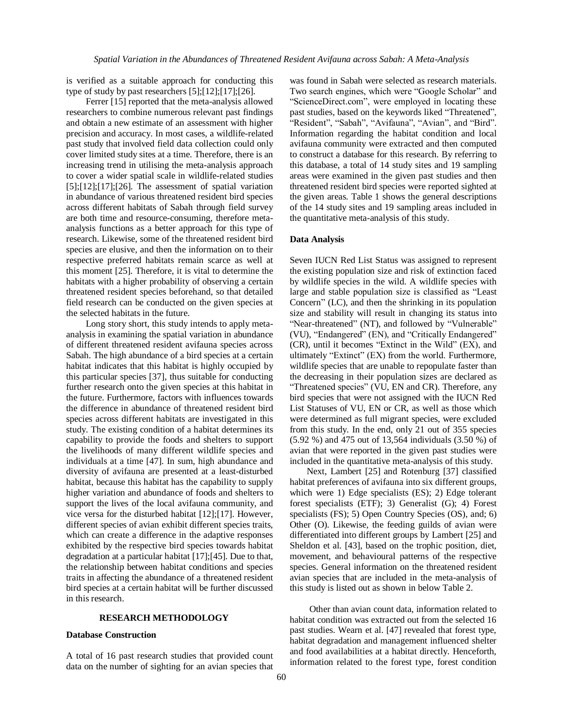is verified as a suitable approach for conducting this type of study by past researchers [5];[12];[17];[26].

Ferrer [15] reported that the meta-analysis allowed researchers to combine numerous relevant past findings and obtain a new estimate of an assessment with higher precision and accuracy. In most cases, a wildlife-related past study that involved field data collection could only cover limited study sites at a time. Therefore, there is an increasing trend in utilising the meta-analysis approach to cover a wider spatial scale in wildlife-related studies  $[5]$ ; $[12]$ ; $[17]$ ; $[26]$ . The assessment of spatial variation in abundance of various threatened resident bird species across different habitats of Sabah through field survey are both time and resource-consuming, therefore metaanalysis functions as a better approach for this type of research. Likewise, some of the threatened resident bird species are elusive, and then the information on to their respective preferred habitats remain scarce as well at this moment [25]. Therefore, it is vital to determine the habitats with a higher probability of observing a certain threatened resident species beforehand, so that detailed field research can be conducted on the given species at the selected habitats in the future.

Long story short, this study intends to apply metaanalysis in examining the spatial variation in abundance of different threatened resident avifauna species across Sabah. The high abundance of a bird species at a certain habitat indicates that this habitat is highly occupied by this particular species [37], thus suitable for conducting further research onto the given species at this habitat in the future. Furthermore, factors with influences towards the difference in abundance of threatened resident bird species across different habitats are investigated in this study. The existing condition of a habitat determines its capability to provide the foods and shelters to support the livelihoods of many different wildlife species and individuals at a time [47]. In sum, high abundance and diversity of avifauna are presented at a least-disturbed habitat, because this habitat has the capability to supply higher variation and abundance of foods and shelters to support the lives of the local avifauna community, and vice versa for the disturbed habitat [12];[17]. However, different species of avian exhibit different species traits, which can create a difference in the adaptive responses exhibited by the respective bird species towards habitat degradation at a particular habitat [17];[45]. Due to that, the relationship between habitat conditions and species traits in affecting the abundance of a threatened resident bird species at a certain habitat will be further discussed in this research.

### **RESEARCH METHODOLOGY**

### **Database Construction**

A total of 16 past research studies that provided count data on the number of sighting for an avian species that was found in Sabah were selected as research materials. Two search engines, which were "Google Scholar" and "ScienceDirect.com", were employed in locating these past studies, based on the keywords liked "Threatened", "Resident", "Sabah", "Avifauna", "Avian", and "Bird". Information regarding the habitat condition and local avifauna community were extracted and then computed to construct a database for this research. By referring to this database, a total of 14 study sites and 19 sampling areas were examined in the given past studies and then threatened resident bird species were reported sighted at the given areas. Table 1 shows the general descriptions of the 14 study sites and 19 sampling areas included in the quantitative meta-analysis of this study.

#### **Data Analysis**

Seven IUCN Red List Status was assigned to represent the existing population size and risk of extinction faced by wildlife species in the wild. A wildlife species with large and stable population size is classified as "Least Concern" (LC), and then the shrinking in its population size and stability will result in changing its status into "Near-threatened" (NT), and followed by "Vulnerable" (VU), "Endangered" (EN), and "Critically Endangered" (CR), until it becomes "Extinct in the Wild" (EX), and ultimately "Extinct" (EX) from the world. Furthermore, wildlife species that are unable to repopulate faster than the decreasing in their population sizes are declared as "Threatened species" (VU, EN and CR). Therefore, any bird species that were not assigned with the IUCN Red List Statuses of VU, EN or CR, as well as those which were determined as full migrant species, were excluded from this study. In the end, only 21 out of 355 species (5.92 %) and 475 out of 13,564 individuals (3.50 %) of avian that were reported in the given past studies were included in the quantitative meta-analysis of this study.

Next, Lambert [25] and Rotenburg [37] classified habitat preferences of avifauna into six different groups, which were 1) Edge specialists (ES); 2) Edge tolerant forest specialists (ETF); 3) Generalist (G); 4) Forest specialists (FS); 5) Open Country Species (OS), and; 6) Other (O). Likewise, the feeding guilds of avian were differentiated into different groups by Lambert [25] and Sheldon et al. [43], based on the trophic position, diet, movement, and behavioural patterns of the respective species. General information on the threatened resident avian species that are included in the meta-analysis of this study is listed out as shown in below Table 2.

Other than avian count data, information related to habitat condition was extracted out from the selected 16 past studies. Wearn et al. [47] revealed that forest type, habitat degradation and management influenced shelter and food availabilities at a habitat directly. Henceforth, information related to the forest type, forest condition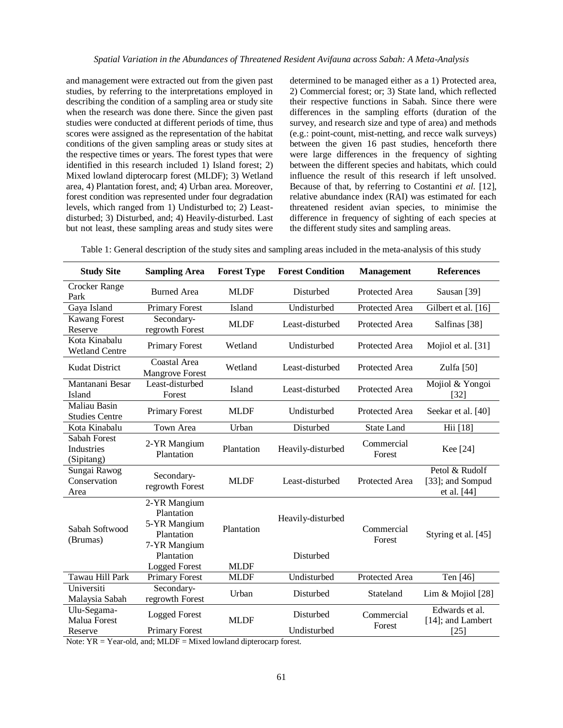and management were extracted out from the given past studies, by referring to the interpretations employed in describing the condition of a sampling area or study site when the research was done there. Since the given past studies were conducted at different periods of time, thus scores were assigned as the representation of the habitat conditions of the given sampling areas or study sites at the respective times or years. The forest types that were identified in this research included 1) Island forest; 2) Mixed lowland dipterocarp forest (MLDF); 3) Wetland area, 4) Plantation forest, and; 4) Urban area. Moreover, forest condition was represented under four degradation levels, which ranged from 1) Undisturbed to; 2) Leastdisturbed; 3) Disturbed, and; 4) Heavily-disturbed. Last but not least, these sampling areas and study sites were

determined to be managed either as a 1) Protected area, 2) Commercial forest; or; 3) State land, which reflected their respective functions in Sabah. Since there were differences in the sampling efforts (duration of the survey, and research size and type of area) and methods (e.g.: point-count, mist-netting, and recce walk surveys) between the given 16 past studies, henceforth there were large differences in the frequency of sighting between the different species and habitats, which could influence the result of this research if left unsolved. Because of that, by referring to Costantini *et al*. [12], relative abundance index (RAI) was estimated for each threatened resident avian species, to minimise the difference in frequency of sighting of each species at the different study sites and sampling areas.

Table 1: General description of the study sites and sampling areas included in the meta-analysis of this study

| <b>Study Site</b>                               | <b>Sampling Area</b>                                                                                           | <b>Forest Type</b>        | <b>Forest Condition</b>        | <b>Management</b>     | <b>References</b>                                 |
|-------------------------------------------------|----------------------------------------------------------------------------------------------------------------|---------------------------|--------------------------------|-----------------------|---------------------------------------------------|
| Crocker Range<br>Park                           | <b>Burned Area</b>                                                                                             | <b>MLDF</b>               | Disturbed                      | <b>Protected Area</b> | Sausan [39]                                       |
| Gaya Island                                     | <b>Primary Forest</b>                                                                                          | Island                    | Undisturbed                    | Protected Area        | Gilbert et al. [16]                               |
| <b>Kawang Forest</b><br>Reserve                 | Secondary-<br>regrowth Forest                                                                                  | <b>MLDF</b>               | Least-disturbed                | Protected Area        | Salfinas [38]                                     |
| Kota Kinabalu<br><b>Wetland Centre</b>          | <b>Primary Forest</b>                                                                                          | Wetland                   | Undisturbed                    | Protected Area        | Mojiol et al. [31]                                |
| <b>Kudat District</b>                           | <b>Coastal Area</b><br><b>Mangrove Forest</b>                                                                  | Wetland                   | Least-disturbed                | Protected Area        | Zulfa $[50]$                                      |
| Mantanani Besar<br>Island                       | Least-disturbed<br>Forest                                                                                      | Island                    | Least-disturbed                | <b>Protected Area</b> | Mojiol & Yongoi<br>$[32]$                         |
| Maliau Basin<br><b>Studies Centre</b>           | <b>Primary Forest</b>                                                                                          | <b>MLDF</b>               | Undisturbed                    | Protected Area        | Seekar et al. [40]                                |
| Kota Kinabalu                                   | Town Area                                                                                                      | Urban                     | Disturbed                      | <b>State Land</b>     | Hii [18]                                          |
| <b>Sabah Forest</b><br>Industries<br>(Sipitang) | 2-YR Mangium<br>Plantation                                                                                     | Plantation                | Heavily-disturbed              | Commercial<br>Forest  | Kee [24]                                          |
| Sungai Rawog<br>Conservation<br>Area            | Secondary-<br>regrowth Forest                                                                                  | <b>MLDF</b>               | Least-disturbed                | Protected Area        | Petol & Rudolf<br>[33]; and Sompud<br>et al. [44] |
| Sabah Softwood<br>(Brumas)                      | 2-YR Mangium<br>Plantation<br>5-YR Mangium<br>Plantation<br>7-YR Mangium<br>Plantation<br><b>Logged Forest</b> | Plantation<br><b>MLDF</b> | Heavily-disturbed<br>Disturbed | Commercial<br>Forest  | Styring et al. [45]                               |
| Tawau Hill Park                                 | <b>Primary Forest</b>                                                                                          | <b>MLDF</b>               | Undisturbed                    | Protected Area        | Ten [46]                                          |
| Universiti<br>Malaysia Sabah                    | Secondary-<br>regrowth Forest                                                                                  | Urban                     | Disturbed                      | Stateland             | Lim & Mojiol $[28]$                               |
| Ulu-Segama-<br>Malua Forest                     | <b>Logged Forest</b>                                                                                           | <b>MLDF</b>               | Disturbed<br>Undisturbed       | Commercial<br>Forest  | Edwards et al.<br>[14]; and Lambert               |
| Reserve                                         | <b>Primary Forest</b>                                                                                          |                           |                                |                       | $[25]$                                            |

Note:  $YR = Year-old$ , and;  $MLDF = Mixed$  lowland dipterocarp forest.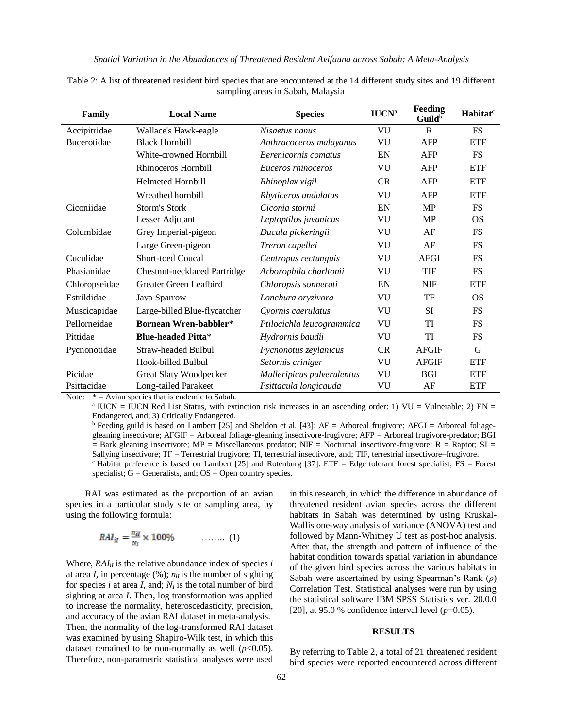| Family             | <b>Local Name</b>                   | <b>Species</b>             | <b>IUCN</b> <sup>a</sup> | Feeding<br>$G$ uild $b$ | Habitat <sup>c</sup> |
|--------------------|-------------------------------------|----------------------------|--------------------------|-------------------------|----------------------|
| Accipitridae       | Wallace's Hawk-eagle                | Nisaetus nanus             | VU                       | $\mathbf{R}$            | <b>FS</b>            |
| <b>Bucerotidae</b> | <b>Black Hornbill</b>               | Anthracoceros malayanus    | VU                       | <b>AFP</b>              | <b>ETF</b>           |
|                    | White-crowned Hornbill              | Berenicornis comatus       | EN                       | <b>AFP</b>              | <b>FS</b>            |
|                    | Rhinoceros Hornbill                 | <b>Buceros</b> rhinoceros  | VU                       | AFP                     | <b>ETF</b>           |
|                    | Helmeted Hornbill                   | Rhinoplax vigil            | CR                       | <b>AFP</b>              | <b>ETF</b>           |
|                    | Wreathed hornbill                   | Rhyticeros undulatus       | VU                       | AFP                     | <b>ETF</b>           |
| Ciconiidae         | Storm's Stork                       | Ciconia stormi             | EN                       | <b>MP</b>               | <b>FS</b>            |
|                    | Lesser Adjutant                     | Leptoptilos javanicus      | VU                       | <b>MP</b>               | <b>OS</b>            |
| Columbidae         | Grey Imperial-pigeon                | Ducula pickeringii         | VU                       | AF                      | <b>FS</b>            |
|                    | Large Green-pigeon                  | Treron capellei            | VU                       | AF                      | <b>FS</b>            |
| Cuculidae          | <b>Short-toed Coucal</b>            | Centropus rectunguis       | VU                       | AFGI                    | <b>FS</b>            |
| Phasianidae        | <b>Chestnut-necklaced Partridge</b> | Arborophila charltonii     | VU                       | TIF                     | <b>FS</b>            |
| Chloropseidae      | Greater Green Leafbird              | Chloropsis sonnerati       | EN                       | <b>NIF</b>              | <b>ETF</b>           |
| Estrildidae        | Java Sparrow                        | Lonchura oryzivora         | VU                       | TF                      | OS                   |
| Muscicapidae       | Large-billed Blue-flycatcher        | Cyornis caerulatus         | VU                       | <b>SI</b>               | <b>FS</b>            |
| Pellorneidae       | <b>Bornean Wren-babbler*</b>        | Ptilocichla leucogrammica  | VU                       | TI                      | FS                   |
| Pittidae           | <b>Blue-headed Pitta*</b>           | Hydrornis baudii           | VU                       | <b>TI</b>               | <b>FS</b>            |
| Pycnonotidae       | <b>Straw-headed Bulbul</b>          | Pycnonotus zeylanicus      | CR                       | <b>AFGIF</b>            | G                    |
|                    | Hook-billed Bulbul                  | Setornis criniger          | VU                       | <b>AFGIF</b>            | <b>ETF</b>           |
| Picidae            | <b>Great Slaty Woodpecker</b>       | Mulleripicus pulverulentus | VU                       | <b>BGI</b>              | <b>ETF</b>           |
| Psittacidae        | Long-tailed Parakeet                | Psittacula longicauda      | VU                       | AF                      | <b>ETF</b>           |

Table 2: A list of threatened resident bird species that are encountered at the 14 different study sites and 19 different sampling areas in Sabah, Malaysia

Note:  $* =$  Avian species that is endemic to Sabah.

 $^{\circ}$  IUCN = IUCN Red List Status, with extinction risk increases in an ascending order: 1) VU = Vulnerable; 2) EN = Endangered, and; 3) Critically Endangered.

 $b$  Feeding guild is based on Lambert [25] and Sheldon et al. [43]: AF = Arboreal frugivore; AFGI = Arboreal foliagegleaning insectivore; AFGIF = Arboreal foliage-gleaning insectivore-frugivore; AFP = Arboreal frugivore-predator; BGI  $=$  Bark gleaning insectivore; MP = Miscellaneous predator; NIF = Nocturnal insectivore-frugivore; R = Raptor; SI = Sallying insectivore; TF = Terrestrial frugivore; TI, terrestrial insectivore, and; TIF, terrestrial insectivore–frugivore.  $c$  Habitat preference is based on Lambert [25] and Rotenburg [37]: ETF = Edge tolerant forest specialist; FS = Forest specialist;  $G =$  Generalists, and;  $OS =$  Open country species.

RAI was estimated as the proportion of an avian species in a particular study site or sampling area, by using the following formula:

$$
RAI_{il} = \frac{n_{il}}{N_l} \times 100\% \qquad \qquad \ldots \ldots \qquad (1)
$$

Where,  $RAI_{il}$  is the relative abundance index of species *i* at area *I*, in percentage  $(\%)$ ;  $n_{ij}$  is the number of sighting for species *i* at area *I*, and;  $N<sub>I</sub>$  is the total number of bird sighting at area *I*. Then, log transformation was applied to increase the normality, heteroscedasticity, precision, and accuracy of the avian RAI dataset in meta-analysis. Then, the normality of the log-transformed RAI dataset was examined by using Shapiro-Wilk test, in which this dataset remained to be non-normally as well  $(p<0.05)$ . Therefore, non-parametric statistical analyses were used

in this research, in which the difference in abundance of threatened resident avian species across the different habitats in Sabah was determined by using Kruskal-Wallis one-way analysis of variance (ANOVA) test and followed by Mann-Whitney U test as post-hoc analysis. After that, the strength and pattern of influence of the habitat condition towards spatial variation in abundance of the given bird species across the various habitats in Sabah were ascertained by using Spearman's Rank (*ρ*) Correlation Test. Statistical analyses were run by using the statistical software IBM SPSS Statistics ver. 20.0.0 [20], at 95.0 % confidence interval level  $(p=0.05)$ .

### **RESULTS**

By referring to Table 2, a total of 21 threatened resident bird species were reported encountered across different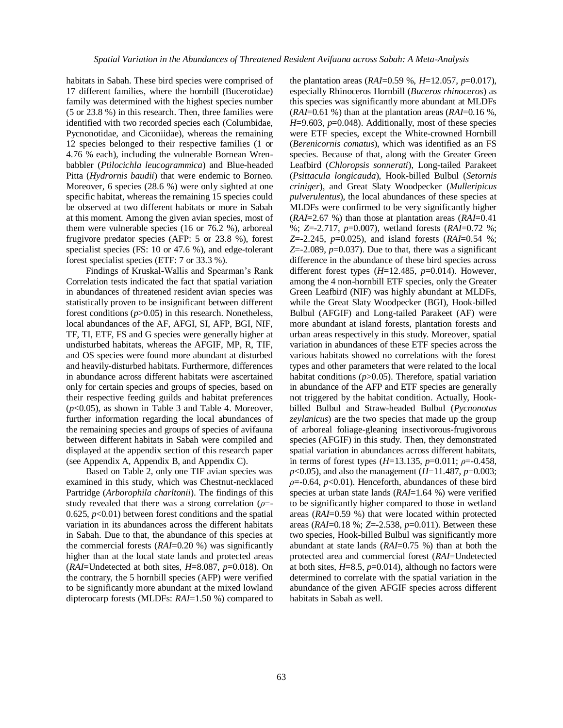habitats in Sabah. These bird species were comprised of 17 different families, where the hornbill (Bucerotidae) family was determined with the highest species number (5 or 23.8 %) in this research. Then, three families were identified with two recorded species each (Columbidae, Pycnonotidae, and Ciconiidae), whereas the remaining 12 species belonged to their respective families (1 or 4.76 % each), including the vulnerable Bornean Wrenbabbler (*Ptilocichla leucogrammica*) and Blue-headed Pitta (*Hydrornis baudii*) that were endemic to Borneo. Moreover, 6 species (28.6 %) were only sighted at one specific habitat, whereas the remaining 15 species could be observed at two different habitats or more in Sabah at this moment. Among the given avian species, most of them were vulnerable species (16 or 76.2 %), arboreal frugivore predator species (AFP: 5 or 23.8 %), forest specialist species (FS: 10 or 47.6 %), and edge-tolerant forest specialist species (ETF: 7 or 33.3 %).

Findings of Kruskal-Wallis and Spearman's Rank Correlation tests indicated the fact that spatial variation in abundances of threatened resident avian species was statistically proven to be insignificant between different forest conditions (*p*>0.05) in this research. Nonetheless, local abundances of the AF, AFGI, SI, AFP, BGI, NIF, TF, TI, ETF, FS and G species were generally higher at undisturbed habitats, whereas the AFGIF, MP, R, TIF, and OS species were found more abundant at disturbed and heavily-disturbed habitats. Furthermore, differences in abundance across different habitats were ascertained only for certain species and groups of species, based on their respective feeding guilds and habitat preferences (*p*<0.05), as shown in Table 3 and Table 4. Moreover, further information regarding the local abundances of the remaining species and groups of species of avifauna between different habitats in Sabah were compiled and displayed at the appendix section of this research paper (see Appendix A, Appendix B, and Appendix C).

Based on Table 2, only one TIF avian species was examined in this study, which was Chestnut-necklaced Partridge (*Arborophila charltonii*). The findings of this study revealed that there was a strong correlation (*ρ*=- 0.625,  $p<0.01$ ) between forest conditions and the spatial variation in its abundances across the different habitats in Sabah. Due to that, the abundance of this species at the commercial forests (*RAI*=0.20 %) was significantly higher than at the local state lands and protected areas (*RAI*=Undetected at both sites, *H*=8.087, *p*=0.018). On the contrary, the 5 hornbill species (AFP) were verified to be significantly more abundant at the mixed lowland dipterocarp forests (MLDFs: *RAI*=1.50 %) compared to the plantation areas (*RAI*=0.59 %, *H*=12.057, *p*=0.017), especially Rhinoceros Hornbill (*Buceros rhinoceros*) as this species was significantly more abundant at MLDFs (*RAI*=0.61 %) than at the plantation areas (*RAI*=0.16 %, *H*=9.603, *p*=0.048). Additionally, most of these species were ETF species, except the White-crowned Hornbill (*Berenicornis comatus*), which was identified as an FS species. Because of that, along with the Greater Green Leafbird (*Chloropsis sonnerati*), Long-tailed Parakeet (*Psittacula longicauda*), Hook-billed Bulbul (*Setornis criniger*), and Great Slaty Woodpecker (*Mulleripicus pulverulentus*), the local abundances of these species at MLDFs were confirmed to be very significantly higher (*RAI*=2.67 %) than those at plantation areas (*RAI*=0.41 %; *Z*=-2.717, *p*=0.007), wetland forests (*RAI*=0.72 %; *Z*=-2.245, *p*=0.025), and island forests (*RAI*=0.54 %;  $Z=-2.089$ ,  $p=0.037$ ). Due to that, there was a significant difference in the abundance of these bird species across different forest types (*H*=12.485, *p*=0.014). However, among the 4 non-hornbill ETF species, only the Greater Green Leafbird (NIF) was highly abundant at MLDFs, while the Great Slaty Woodpecker (BGI), Hook-billed Bulbul (AFGIF) and Long-tailed Parakeet (AF) were more abundant at island forests, plantation forests and urban areas respectively in this study. Moreover, spatial variation in abundances of these ETF species across the various habitats showed no correlations with the forest types and other parameters that were related to the local habitat conditions ( $p$ >0.05). Therefore, spatial variation in abundance of the AFP and ETF species are generally not triggered by the habitat condition. Actually, Hookbilled Bulbul and Straw-headed Bulbul (*Pycnonotus zeylanicus*) are the two species that made up the group of arboreal foliage-gleaning insectivorous-frugivorous species (AFGIF) in this study. Then, they demonstrated spatial variation in abundances across different habitats, in terms of forest types (*H*=13.135, *p*=0.011; *ρ*=-0.458, *p*<0.05), and also the management (*H*=11.487, *p*=0.003; *ρ*=-0.64, *p*<0.01). Henceforth, abundances of these bird species at urban state lands (*RAI*=1.64 %) were verified to be significantly higher compared to those in wetland areas (*RAI*=0.59 %) that were located within protected areas (*RAI*=0.18 %; *Z*=-2.538, *p*=0.011). Between these two species, Hook-billed Bulbul was significantly more abundant at state lands (*RAI*=0.75 %) than at both the protected area and commercial forest (*RAI*=Undetected at both sites,  $H=8.5$ ,  $p=0.014$ ), although no factors were determined to correlate with the spatial variation in the abundance of the given AFGIF species across different habitats in Sabah as well.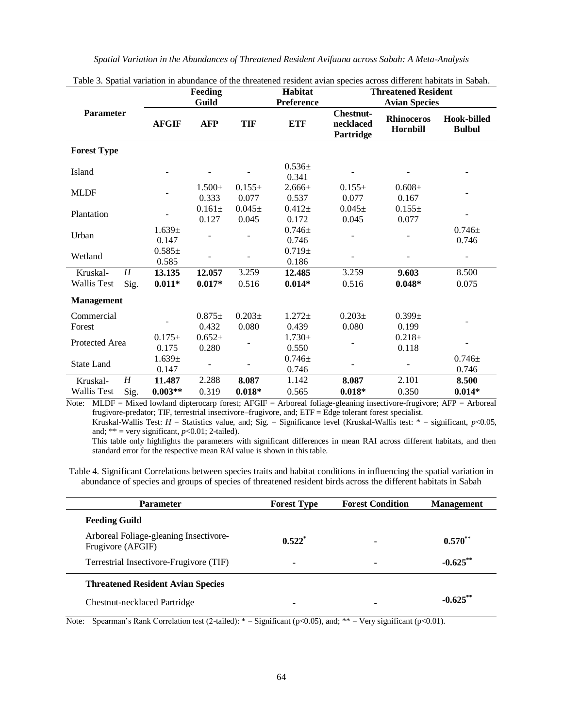|                      |                  | Feeding              |                      | Habitat             | I able 5. Spatial variation in abundance of the uneatened resident avian species across unferent habitats in Saban.<br><b>Threatened Resident</b> |                                            |                               |                              |
|----------------------|------------------|----------------------|----------------------|---------------------|---------------------------------------------------------------------------------------------------------------------------------------------------|--------------------------------------------|-------------------------------|------------------------------|
|                      |                  |                      | Guild                |                     | Preference                                                                                                                                        | <b>Avian Species</b>                       |                               |                              |
| <b>Parameter</b>     |                  | <b>AFGIF</b>         | <b>AFP</b>           | <b>TIF</b>          | <b>ETF</b>                                                                                                                                        | <b>Chestnut-</b><br>necklaced<br>Partridge | <b>Rhinoceros</b><br>Hornbill | Hook-billed<br><b>Bulbul</b> |
| <b>Forest Type</b>   |                  |                      |                      |                     |                                                                                                                                                   |                                            |                               |                              |
| Island               |                  |                      |                      |                     | $0.536+$<br>0.341                                                                                                                                 |                                            |                               |                              |
| <b>MLDF</b>          |                  |                      | $1.500 \pm$<br>0.333 | $0.155\pm$<br>0.077 | $2.666 \pm$<br>0.537                                                                                                                              | $0.155\pm$<br>0.077                        | $0.608 \pm$<br>0.167          |                              |
| Plantation           |                  |                      | $0.161 \pm$<br>0.127 | $0.045\pm$<br>0.045 | $0.412 \pm$<br>0.172                                                                                                                              | $0.045\pm$<br>0.045                        | $0.155\pm$<br>0.077           |                              |
| Urban                |                  | $1.639 \pm$<br>0.147 |                      |                     | $0.746 \pm$<br>0.746                                                                                                                              |                                            |                               | $0.746 \pm$<br>0.746         |
| Wetland              |                  | $0.585\pm$<br>0.585  |                      |                     | $0.719\pm$<br>0.186                                                                                                                               |                                            |                               |                              |
| Kruskal-             | $\boldsymbol{H}$ | 13.135               | 12.057               | 3.259               | 12.485                                                                                                                                            | 3.259                                      | 9.603                         | 8.500                        |
| <b>Wallis Test</b>   | Sig.             | $0.011*$             | $0.017*$             | 0.516               | $0.014*$                                                                                                                                          | 0.516                                      | $0.048*$                      | 0.075                        |
| <b>Management</b>    |                  |                      |                      |                     |                                                                                                                                                   |                                            |                               |                              |
| Commercial<br>Forest |                  |                      | $0.875\pm$<br>0.432  | $0.203\pm$<br>0.080 | $1.272 \pm$<br>0.439                                                                                                                              | $0.203\pm$<br>0.080                        | $0.399 \pm$<br>0.199          |                              |
| Protected Area       |                  | $0.175\pm$<br>0.175  | $0.652+$<br>0.280    |                     | $1.730+$<br>0.550                                                                                                                                 |                                            | $0.218 +$<br>0.118            |                              |
| <b>State Land</b>    |                  | $1.639 +$<br>0.147   |                      |                     | $0.746 \pm$<br>0.746                                                                                                                              |                                            |                               | $0.746 \pm$<br>0.746         |
| Kruskal-             | $\boldsymbol{H}$ | 11.487               | 2.288                | 8.087               | 1.142                                                                                                                                             | 8.087                                      | 2.101                         | 8.500                        |
| <b>Wallis Test</b>   | Sig.             | $0.003**$            | 0.319                | $0.018*$            | 0.565                                                                                                                                             | $0.018*$                                   | 0.350                         | $0.014*$                     |

Table 3. Spatial variation in abundance of the threatened resident avian species across different habitats in Sabah.

Note: MLDF = Mixed lowland dipterocarp forest; AFGIF = Arboreal foliage-gleaning insectivore-frugivore; AFP = Arboreal frugivore-predator; TIF, terrestrial insectivore–frugivore, and; ETF = Edge tolerant forest specialist. Kruskal-Wallis Test:  $H =$  Statistics value, and; Sig. = Significance level (Kruskal-Wallis test:  $* =$  significant,  $p < 0.05$ ,

and;  $** = \text{very significant}, p<0.01; 2-tailed).$ 

This table only highlights the parameters with significant differences in mean RAI across different habitats, and then standard error for the respective mean RAI value is shown in this table.

Table 4. Significant Correlations between species traits and habitat conditions in influencing the spatial variation in abundance of species and groups of species of threatened resident birds across the different habitats in Sabah

| <b>Parameter</b>                                            | <b>Forest Type</b>       | <b>Forest Condition</b> | <b>Management</b> |
|-------------------------------------------------------------|--------------------------|-------------------------|-------------------|
| <b>Feeding Guild</b>                                        |                          |                         |                   |
| Arboreal Foliage-gleaning Insectivore-<br>Frugivore (AFGIF) | $0.522^*$                |                         | $0.570**$         |
| Terrestrial Insectivore-Frugivore (TIF)                     | $\overline{\phantom{0}}$ |                         | $-0.625$ **       |
| <b>Threatened Resident Avian Species</b>                    |                          |                         |                   |
| Chestnut-necklaced Partridge                                | $\blacksquare$           |                         | $-0.625$ **       |

Note: Spearman's Rank Correlation test (2-tailed):  $* =$  Significant (p<0.05), and;  $** =$  Very significant (p<0.01).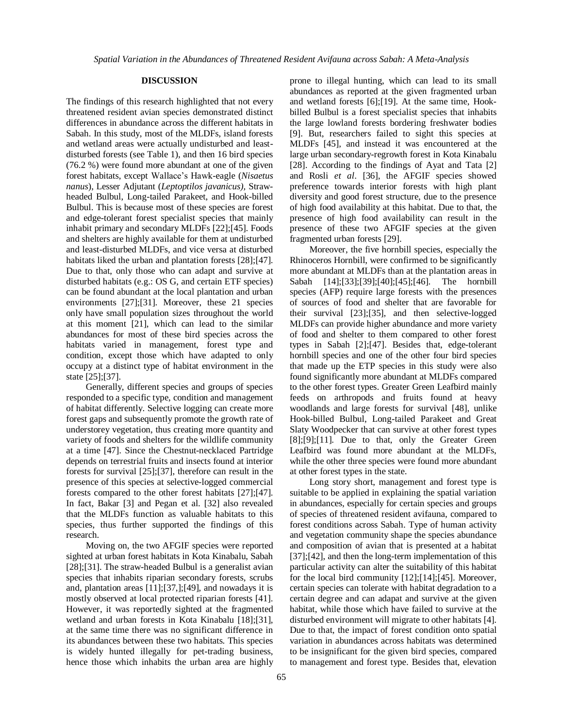### **DISCUSSION**

The findings of this research highlighted that not every threatened resident avian species demonstrated distinct differences in abundance across the different habitats in Sabah. In this study, most of the MLDFs, island forests and wetland areas were actually undisturbed and leastdisturbed forests (see Table 1), and then 16 bird species (76.2 %) were found more abundant at one of the given forest habitats, except Wallace's Hawk-eagle (*Nisaetus nanus*), Lesser Adjutant (*Leptoptilos javanicus),* Strawheaded Bulbul, Long-tailed Parakeet, and Hook-billed Bulbul. This is because most of these species are forest and edge-tolerant forest specialist species that mainly inhabit primary and secondary MLDFs [22];[45]. Foods and shelters are highly available for them at undisturbed and least-disturbed MLDFs, and vice versa at disturbed habitats liked the urban and plantation forests [28];[47]. Due to that, only those who can adapt and survive at disturbed habitats (e.g.: OS G, and certain ETF species) can be found abundant at the local plantation and urban environments [27];[31]. Moreover, these 21 species only have small population sizes throughout the world at this moment [21], which can lead to the similar abundances for most of these bird species across the habitats varied in management, forest type and condition, except those which have adapted to only occupy at a distinct type of habitat environment in the state [25];[37].

Generally, different species and groups of species responded to a specific type, condition and management of habitat differently. Selective logging can create more forest gaps and subsequently promote the growth rate of understorey vegetation, thus creating more quantity and variety of foods and shelters for the wildlife community at a time [47]. Since the Chestnut-necklaced Partridge depends on terrestrial fruits and insects found at interior forests for survival [25];[37], therefore can result in the presence of this species at selective-logged commercial forests compared to the other forest habitats [27];[47]. In fact, Bakar [3] and Pegan et al. [32] also revealed that the MLDFs function as valuable habitats to this species, thus further supported the findings of this research.

Moving on, the two AFGIF species were reported sighted at urban forest habitats in Kota Kinabalu, Sabah [28];[31]. The straw-headed Bulbul is a generalist avian species that inhabits riparian secondary forests, scrubs and, plantation areas [11];[37,];[49], and nowadays it is mostly observed at local protected riparian forests [41]. However, it was reportedly sighted at the fragmented wetland and urban forests in Kota Kinabalu [18];[31], at the same time there was no significant difference in its abundances between these two habitats. This species is widely hunted illegally for pet-trading business, hence those which inhabits the urban area are highly

prone to illegal hunting, which can lead to its small abundances as reported at the given fragmented urban and wetland forests [6];[19]. At the same time, Hookbilled Bulbul is a forest specialist species that inhabits the large lowland forests bordering freshwater bodies [9]. But, researchers failed to sight this species at MLDFs [45], and instead it was encountered at the large urban secondary-regrowth forest in Kota Kinabalu [28]. According to the findings of Ayat and Tata [2] and Rosli *et al*. [36], the AFGIF species showed preference towards interior forests with high plant diversity and good forest structure, due to the presence of high food availability at this habitat. Due to that, the presence of high food availability can result in the presence of these two AFGIF species at the given fragmented urban forests [29].

Moreover, the five hornbill species, especially the Rhinoceros Hornbill, were confirmed to be significantly more abundant at MLDFs than at the plantation areas in Sabah [14];[33];[39];[40];[45];[46]. The hornbill species (AFP) require large forests with the presences of sources of food and shelter that are favorable for their survival [23];[35], and then selective-logged MLDFs can provide higher abundance and more variety of food and shelter to them compared to other forest types in Sabah [2];[47]. Besides that, edge-tolerant hornbill species and one of the other four bird species that made up the ETP species in this study were also found significantly more abundant at MLDFs compared to the other forest types. Greater Green Leafbird mainly feeds on arthropods and fruits found at heavy woodlands and large forests for survival [48], unlike Hook-billed Bulbul, Long-tailed Parakeet and Great Slaty Woodpecker that can survive at other forest types  $[8]$ ; $[9]$ ; $[11]$ . Due to that, only the Greater Green Leafbird was found more abundant at the MLDFs, while the other three species were found more abundant at other forest types in the state.

Long story short, management and forest type is suitable to be applied in explaining the spatial variation in abundances, especially for certain species and groups of species of threatened resident avifauna, compared to forest conditions across Sabah. Type of human activity and vegetation community shape the species abundance and composition of avian that is presented at a habitat [37];[42], and then the long-term implementation of this particular activity can alter the suitability of this habitat for the local bird community [12];[14];[45]. Moreover, certain species can tolerate with habitat degradation to a certain degree and can adapat and survive at the given habitat, while those which have failed to survive at the disturbed environment will migrate to other habitats [4]. Due to that, the impact of forest condition onto spatial variation in abundances across habitats was determined to be insignificant for the given bird species, compared to management and forest type. Besides that, elevation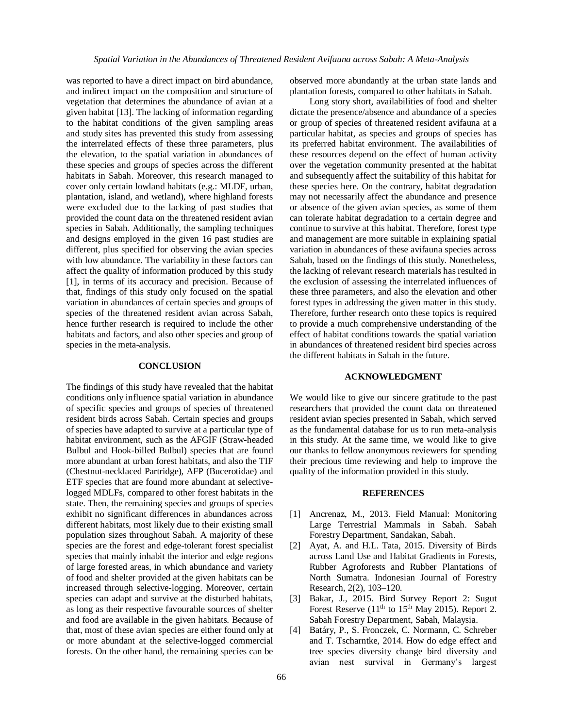was reported to have a direct impact on bird abundance, and indirect impact on the composition and structure of vegetation that determines the abundance of avian at a given habitat [13]. The lacking of information regarding to the habitat conditions of the given sampling areas and study sites has prevented this study from assessing the interrelated effects of these three parameters, plus the elevation, to the spatial variation in abundances of these species and groups of species across the different habitats in Sabah. Moreover, this research managed to cover only certain lowland habitats (e.g.: MLDF, urban, plantation, island, and wetland), where highland forests were excluded due to the lacking of past studies that provided the count data on the threatened resident avian species in Sabah. Additionally, the sampling techniques and designs employed in the given 16 past studies are different, plus specified for observing the avian species with low abundance. The variability in these factors can affect the quality of information produced by this study [1], in terms of its accuracy and precision. Because of that, findings of this study only focused on the spatial variation in abundances of certain species and groups of species of the threatened resident avian across Sabah, hence further research is required to include the other habitats and factors, and also other species and group of species in the meta-analysis.

#### **CONCLUSION**

The findings of this study have revealed that the habitat conditions only influence spatial variation in abundance of specific species and groups of species of threatened resident birds across Sabah. Certain species and groups of species have adapted to survive at a particular type of habitat environment, such as the AFGIF (Straw-headed Bulbul and Hook-billed Bulbul) species that are found more abundant at urban forest habitats, and also the TIF (Chestnut-necklaced Partridge), AFP (Bucerotidae) and ETF species that are found more abundant at selectivelogged MDLFs, compared to other forest habitats in the state. Then, the remaining species and groups of species exhibit no significant differences in abundances across different habitats, most likely due to their existing small population sizes throughout Sabah. A majority of these species are the forest and edge-tolerant forest specialist species that mainly inhabit the interior and edge regions of large forested areas, in which abundance and variety of food and shelter provided at the given habitats can be increased through selective-logging. Moreover, certain species can adapt and survive at the disturbed habitats, as long as their respective favourable sources of shelter and food are available in the given habitats. Because of that, most of these avian species are either found only at or more abundant at the selective-logged commercial forests. On the other hand, the remaining species can be

observed more abundantly at the urban state lands and plantation forests, compared to other habitats in Sabah.

Long story short, availabilities of food and shelter dictate the presence/absence and abundance of a species or group of species of threatened resident avifauna at a particular habitat, as species and groups of species has its preferred habitat environment. The availabilities of these resources depend on the effect of human activity over the vegetation community presented at the habitat and subsequently affect the suitability of this habitat for these species here. On the contrary, habitat degradation may not necessarily affect the abundance and presence or absence of the given avian species, as some of them can tolerate habitat degradation to a certain degree and continue to survive at this habitat. Therefore, forest type and management are more suitable in explaining spatial variation in abundances of these avifauna species across Sabah, based on the findings of this study. Nonetheless, the lacking of relevant research materials has resulted in the exclusion of assessing the interrelated influences of these three parameters, and also the elevation and other forest types in addressing the given matter in this study. Therefore, further research onto these topics is required to provide a much comprehensive understanding of the effect of habitat conditions towards the spatial variation in abundances of threatened resident bird species across the different habitats in Sabah in the future.

### **ACKNOWLEDGMENT**

We would like to give our sincere gratitude to the past researchers that provided the count data on threatened resident avian species presented in Sabah, which served as the fundamental database for us to run meta-analysis in this study. At the same time, we would like to give our thanks to fellow anonymous reviewers for spending their precious time reviewing and help to improve the quality of the information provided in this study.

### **REFERENCES**

- [1] Ancrenaz, M., 2013. Field Manual: Monitoring Large Terrestrial Mammals in Sabah. Sabah Forestry Department, Sandakan, Sabah.
- [2] Ayat, A. and H.L. Tata, 2015. Diversity of Birds across Land Use and Habitat Gradients in Forests, Rubber Agroforests and Rubber Plantations of North Sumatra. Indonesian Journal of Forestry Research, 2(2), 103–120.
- [3] Bakar, J., 2015. Bird Survey Report 2: Sugut Forest Reserve  $(11<sup>th</sup>$  to  $15<sup>th</sup>$  May 2015). Report 2. Sabah Forestry Department, Sabah, Malaysia.
- [4] Batáry, P., S. Fronczek, C. Normann, C. Schreber and T. Tscharntke, 2014. How do edge effect and tree species diversity change bird diversity and avian nest survival in Germany's largest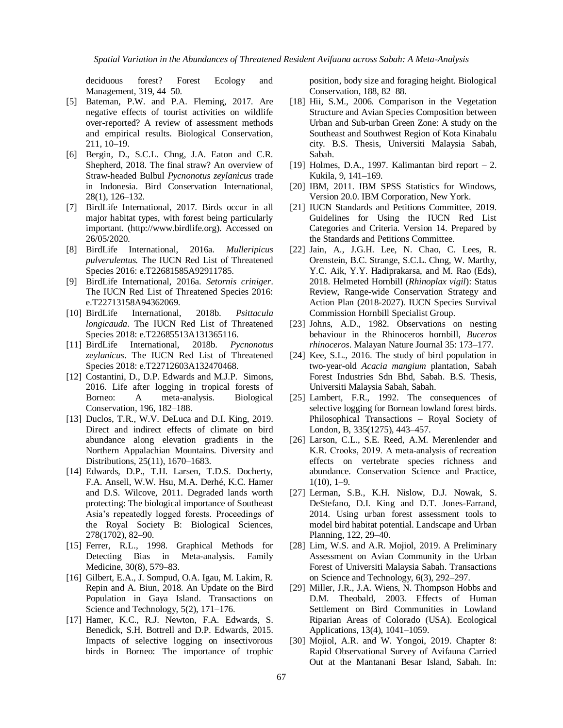deciduous forest? Forest Ecology and Management, 319, 44–50.

- [5] Bateman, P.W. and P.A. Fleming, 2017. Are negative effects of tourist activities on wildlife over-reported? A review of assessment methods and empirical results. Biological Conservation, 211, 10–19.
- [6] Bergin, D., S.C.L. Chng, J.A. Eaton and C.R. Shepherd, 2018. The final straw? An overview of Straw-headed Bulbul *Pycnonotus zeylanicus* trade in Indonesia. Bird Conservation International, 28(1), 126–132.
- [7] BirdLife International, 2017. Birds occur in all major habitat types, with forest being particularly important. (http://www.birdlife.org). Accessed on 26/05/2020.
- [8] BirdLife International, 2016a. *Mulleripicus pulverulentus.* The IUCN Red List of Threatened Species 2016: e.T22681585A92911785.
- [9] BirdLife International, 2016a. *Setornis criniger*. The IUCN Red List of Threatened Species 2016: e.T22713158A94362069.
- [10] BirdLife International, 2018b. *Psittacula longicauda*. The IUCN Red List of Threatened Species 2018: e.T22685513A131365116.
- [11] BirdLife International, 2018b. *Pycnonotus zeylanicus*. The IUCN Red List of Threatened Species 2018: e.T22712603A132470468.
- [12] Costantini, D., D.P. Edwards and M.J.P. Simons, 2016. Life after logging in tropical forests of Borneo: A meta-analysis. Biological Conservation, 196, 182–188.
- [13] Duclos, T.R., W.V. DeLuca and D.I. King, 2019. Direct and indirect effects of climate on bird abundance along elevation gradients in the Northern Appalachian Mountains. Diversity and Distributions, 25(11), 1670–1683.
- [14] Edwards, D.P., T.H. Larsen, T.D.S. Docherty, F.A. Ansell, W.W. Hsu, M.A. Derhé, K.C. Hamer and D.S. Wilcove, 2011. Degraded lands worth protecting: The biological importance of Southeast Asia's repeatedly logged forests. Proceedings of the Royal Society B: Biological Sciences, 278(1702), 82–90.
- [15] Ferrer, R.L., 1998. Graphical Methods for Detecting Bias in Meta-analysis. Family Medicine, 30(8), 579–83.
- [16] Gilbert, E.A., J. Sompud, O.A. Igau, M. Lakim, R. Repin and A. Biun, 2018. An Update on the Bird Population in Gaya Island. Transactions on Science and Technology, 5(2), 171–176.
- [17] Hamer, K.C., R.J. Newton, F.A. Edwards, S. Benedick, S.H. Bottrell and D.P. Edwards, 2015. Impacts of selective logging on insectivorous birds in Borneo: The importance of trophic

position, body size and foraging height. Biological Conservation, 188, 82–88.

- [18] Hii, S.M., 2006. Comparison in the Vegetation Structure and Avian Species Composition between Urban and Sub-urban Green Zone: A study on the Southeast and Southwest Region of Kota Kinabalu city. B.S. Thesis, Universiti Malaysia Sabah, Sabah.
- [19] Holmes, D.A., 1997. Kalimantan bird report 2. Kukila, 9, 141–169.
- [20] IBM, 2011. IBM SPSS Statistics for Windows, Version 20.0. IBM Corporation, New York.
- [21] IUCN Standards and Petitions Committee, 2019. Guidelines for Using the IUCN Red List Categories and Criteria. Version 14. Prepared by the Standards and Petitions Committee.
- [22] Jain, A., J.G.H. Lee, N. Chao, C. Lees, R. Orenstein, B.C. Strange, S.C.L. Chng, W. Marthy, Y.C. Aik, Y.Y. Hadiprakarsa, and M. Rao (Eds), 2018. Helmeted Hornbill (*Rhinoplax vigil*): Status Review, Range-wide Conservation Strategy and Action Plan (2018-2027). IUCN Species Survival Commission Hornbill Specialist Group.
- [23] Johns, A.D., 1982. Observations on nesting behaviour in the Rhinoceros hornbill, *Buceros rhinoceros*. Malayan Nature Journal 35: 173–177.
- [24] Kee, S.L., 2016. The study of bird population in two-year-old *Acacia mangium* plantation, Sabah Forest Industries Sdn Bhd, Sabah. B.S. Thesis, Universiti Malaysia Sabah, Sabah.
- [25] Lambert, F.R., 1992. The consequences of selective logging for Bornean lowland forest birds. Philosophical Transactions – Royal Society of London, B, 335(1275), 443–457.
- [26] Larson, C.L., S.E. Reed, A.M. Merenlender and K.R. Crooks, 2019. A meta‐analysis of recreation effects on vertebrate species richness and abundance. Conservation Science and Practice,  $1(10)$ , 1–9.
- [27] Lerman, S.B., K.H. Nislow, D.J. Nowak, S. DeStefano, D.I. King and D.T. Jones-Farrand, 2014. Using urban forest assessment tools to model bird habitat potential. Landscape and Urban Planning, 122, 29–40.
- [28] Lim, W.S. and A.R. Mojiol, 2019. A Preliminary Assessment on Avian Community in the Urban Forest of Universiti Malaysia Sabah. Transactions on Science and Technology, 6(3), 292–297.
- [29] Miller, J.R., J.A. Wiens, N. Thompson Hobbs and D.M. Theobald, 2003. Effects of Human Settlement on Bird Communities in Lowland Riparian Areas of Colorado (USA). Ecological Applications, 13(4), 1041–1059.
- [30] Mojiol, A.R. and W. Yongoi, 2019. Chapter 8: Rapid Observational Survey of Avifauna Carried Out at the Mantanani Besar Island, Sabah. In: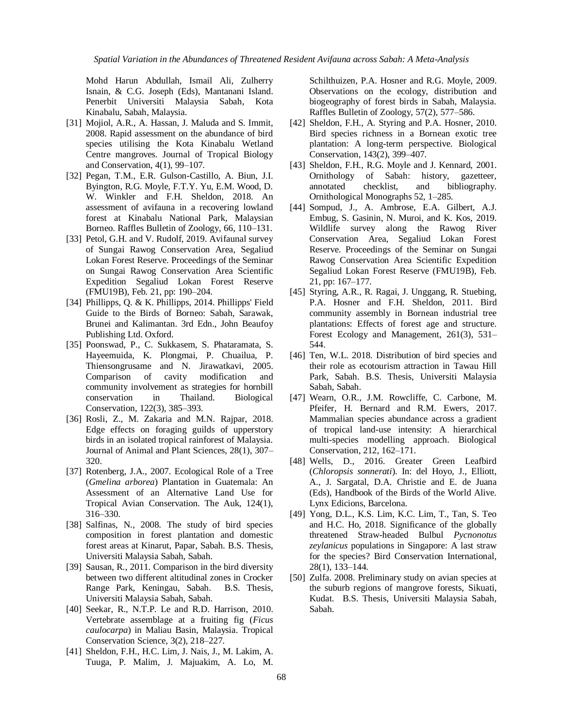Mohd Harun Abdullah, Ismail Ali, Zulherry Isnain, & C.G. Joseph (Eds), Mantanani Island. Penerbit Universiti Malaysia Sabah, Kota Kinabalu, Sabah, Malaysia.

- [31] Mojiol, A.R., A. Hassan, J. Maluda and S. Immit, 2008. Rapid assessment on the abundance of bird species utilising the Kota Kinabalu Wetland Centre mangroves. Journal of Tropical Biology and Conservation, 4(1), 99–107.
- [32] Pegan, T.M., E.R. Gulson-Castillo, A. Biun, J.I. Byington, R.G. Moyle, F.T.Y. Yu, E.M. Wood, D. W. Winkler and F.H. Sheldon, 2018. An assessment of avifauna in a recovering lowland forest at Kinabalu National Park, Malaysian Borneo. Raffles Bulletin of Zoology, 66, 110–131.
- [33] Petol, G.H. and V. Rudolf, 2019. Avifaunal survey of Sungai Rawog Conservation Area, Segaliud Lokan Forest Reserve. Proceedings of the Seminar on Sungai Rawog Conservation Area Scientific Expedition Segaliud Lokan Forest Reserve (FMU19B), Feb. 21, pp: 190–204.
- [34] Phillipps, Q. & K. Phillipps, 2014. Phillipps' Field Guide to the Birds of Borneo: Sabah, Sarawak, Brunei and Kalimantan. 3rd Edn., John Beaufoy Publishing Ltd. Oxford.
- [35] Poonswad, P., C. Sukkasem, S. Phataramata, S. Hayeemuida, K. Plongmai, P. Chuailua, P. Thiensongrusame and N. Jirawatkavi, 2005. Comparison of cavity modification and community involvement as strategies for hornbill conservation in Thailand. Biological Conservation, 122(3), 385–393.
- [36] Rosli, Z., M. Zakaria and M.N. Rajpar, 2018. Edge effects on foraging guilds of upperstory birds in an isolated tropical rainforest of Malaysia. Journal of Animal and Plant Sciences, 28(1), 307– 320.
- [37] Rotenberg, J.A., 2007. Ecological Role of a Tree (*Gmelina arborea*) Plantation in Guatemala: An Assessment of an Alternative Land Use for Tropical Avian Conservation. The Auk, 124(1), 316–330.
- [38] Salfinas, N., 2008. The study of bird species composition in forest plantation and domestic forest areas at Kinarut, Papar, Sabah. B.S. Thesis, Universiti Malaysia Sabah, Sabah.
- [39] Sausan, R., 2011. Comparison in the bird diversity between two different altitudinal zones in Crocker Range Park, Keningau, Sabah. B.S. Thesis, Universiti Malaysia Sabah, Sabah.
- [40] Seekar, R., N.T.P. Le and R.D. Harrison, 2010. Vertebrate assemblage at a fruiting fig (*Ficus caulocarpa*) in Maliau Basin, Malaysia. Tropical Conservation Science, 3(2), 218–227.
- [41] Sheldon, F.H., H.C. Lim, J. Nais, J., M. Lakim, A. Tuuga, P. Malim, J. Majuakim, A. Lo, M.

Schilthuizen, P.A. Hosner and R.G. Moyle, 2009. Observations on the ecology, distribution and biogeography of forest birds in Sabah, Malaysia. Raffles Bulletin of Zoology, 57(2), 577–586.

- [42] Sheldon, F.H., A. Styring and P.A. Hosner, 2010. Bird species richness in a Bornean exotic tree plantation: A long-term perspective. Biological Conservation, 143(2), 399–407.
- [43] Sheldon, F.H., R.G. Moyle and J. Kennard, 2001. Ornithology of Sabah: history, gazetteer, annotated checklist, and bibliography. Ornithological Monographs 52, 1–285.
- [44] Sompud, J., A. Ambrose, E.A. Gilbert, A.J. Embug, S. Gasinin, N. Muroi, and K. Kos, 2019. Wildlife survey along the Rawog River Conservation Area, Segaliud Lokan Forest Reserve. Proceedings of the Seminar on Sungai Rawog Conservation Area Scientific Expedition Segaliud Lokan Forest Reserve (FMU19B), Feb. 21, pp: 167–177.
- [45] Styring, A.R., R. Ragai, J. Unggang, R. Stuebing, P.A. Hosner and F.H. Sheldon, 2011. Bird community assembly in Bornean industrial tree plantations: Effects of forest age and structure. Forest Ecology and Management, 261(3), 531– 544.
- [46] Ten, W.L. 2018. Distribution of bird species and their role as ecotourism attraction in Tawau Hill Park, Sabah. B.S. Thesis, Universiti Malaysia Sabah, Sabah.
- [47] Wearn, O.R., J.M. Rowcliffe, C. Carbone, M. Pfeifer, H. Bernard and R.M. Ewers, 2017. Mammalian species abundance across a gradient of tropical land-use intensity: A hierarchical multi-species modelling approach. Biological Conservation, 212, 162–171.
- [48] Wells, D., 2016. Greater Green Leafbird (*Chloropsis sonnerati*). In: del Hoyo, J., Elliott, A., J. Sargatal, D.A. Christie and E. de Juana (Eds), Handbook of the Birds of the World Alive. Lynx Edicions, Barcelona.
- [49] Yong, D.L., K.S. Lim, K.C. Lim, T., Tan, S. Teo and H.C. Ho, 2018. Significance of the globally threatened Straw-headed Bulbul *Pycnonotus zeylanicus* populations in Singapore: A last straw for the species? Bird Conservation International, 28(1), 133–144.
- [50] Zulfa. 2008. Preliminary study on avian species at the suburb regions of mangrove forests, Sikuati, Kudat. B.S. Thesis, Universiti Malaysia Sabah, Sabah.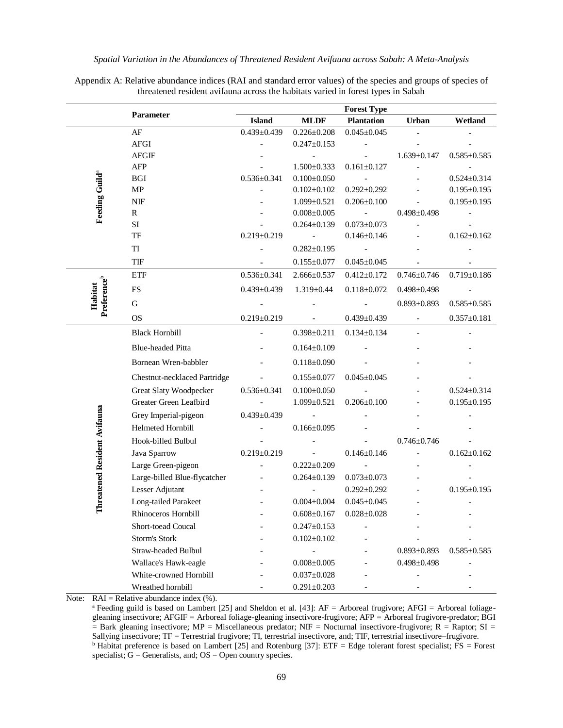Appendix A: Relative abundance indices (RAI and standard error values) of the species and groups of species of threatened resident avifauna across the habitats varied in forest types in Sabah

|                                    |                                   |                          |                                        | <b>Forest Type</b>                     |                          |                          |
|------------------------------------|-----------------------------------|--------------------------|----------------------------------------|----------------------------------------|--------------------------|--------------------------|
|                                    | Parameter                         | <b>Island</b>            | <b>MLDF</b>                            | <b>Plantation</b>                      | Urban                    | Wetland                  |
|                                    | AF                                | $0.439 \pm 0.439$        | $0.226 \pm 0.208$                      | $0.045 \pm 0.045$                      |                          |                          |
|                                    | AFGI                              |                          | $0.247 \pm 0.153$                      |                                        |                          |                          |
|                                    | <b>AFGIF</b>                      |                          | $\overline{\phantom{a}}$               |                                        | $1.639 \pm 0.147$        | $0.585 \pm 0.585$        |
|                                    | AFP                               |                          | $1.500 \pm 0.333$                      | $0.161 \pm 0.127$                      | $\qquad \qquad \Box$     | $\overline{\phantom{a}}$ |
|                                    | <b>BGI</b>                        | $0.536 \pm 0.341$        | $0.100 \pm 0.050$                      |                                        |                          | $0.524 \pm 0.314$        |
| Feeding Guild <sup>a</sup>         | $\ensuremath{\mathbf{MP}}\xspace$ |                          | $0.102 \pm 0.102$                      | $0.292 \pm 0.292$                      |                          | $0.195 \pm 0.195$        |
|                                    | NIF                               |                          | $1.099 \pm 0.521$                      | $0.206 \pm 0.100$                      | $\centerdot$             | $0.195 \pm 0.195$        |
|                                    | R<br>SI                           |                          | $0.008 \pm 0.005$<br>$0.264 \pm 0.139$ | $\blacksquare$                         | $0.498 \pm 0.498$        |                          |
|                                    | TF                                | $0.219 \pm 0.219$        | $\overline{\phantom{a}}$               | $0.073 \pm 0.073$<br>$0.146 \pm 0.146$ | $\overline{\phantom{0}}$ | $0.162 \pm 0.162$        |
|                                    |                                   |                          |                                        |                                        |                          |                          |
|                                    | TI                                |                          | $0.282 \pm 0.195$                      | $\overline{\phantom{a}}$               |                          |                          |
|                                    | TIF                               |                          | $0.155 \pm 0.077$                      | $0.045 \pm 0.045$                      |                          |                          |
|                                    | ETF                               | $0.536 \pm 0.341$        | $2.666 \pm 0.537$                      | $0.412{\pm}0.172$                      | $0.746 \pm 0.746$        | $0.719 \pm 0.186$        |
|                                    | FS                                | $0.439 \pm 0.439$        | $1.319 \pm 0.44$                       | $0.118 \pm 0.072$                      | $0.498 \pm 0.498$        |                          |
| Preference <sup>b</sup><br>Habitat | $\mathbf G$                       |                          |                                        |                                        | $0.893 \pm 0.893$        | $0.585 \pm 0.585$        |
|                                    | <b>OS</b>                         | $0.219 \pm 0.219$        | $\overline{\phantom{a}}$               | $0.439 \pm 0.439$                      | $\overline{\phantom{a}}$ | $0.357 \pm 0.181$        |
|                                    | <b>Black Hornbill</b>             |                          | $0.398 \pm 0.211$                      | $0.134 \pm 0.134$                      | $\overline{a}$           |                          |
|                                    | <b>Blue-headed Pitta</b>          |                          | $0.164 \pm 0.109$                      |                                        |                          |                          |
|                                    | Bornean Wren-babbler              |                          | $0.118 \pm 0.090$                      |                                        |                          |                          |
|                                    | Chestnut-necklaced Partridge      | $\overline{\phantom{a}}$ | $0.155 \pm 0.077$                      | $0.045 \pm 0.045$                      |                          |                          |
|                                    | Great Slaty Woodpecker            | $0.536 \pm 0.341$        | $0.100 \pm 0.050$                      | $\sim$                                 |                          | $0.524 \pm 0.314$        |
|                                    | Greater Green Leafbird            |                          | $1.099 \pm 0.521$                      | $0.206 \pm 0.100$                      |                          | $0.195 \pm 0.195$        |
|                                    | Grey Imperial-pigeon              | $0.439 \pm 0.439$        | $\overline{\phantom{a}}$               |                                        |                          |                          |
|                                    | Helmeted Hornbill                 |                          | $0.166 \pm 0.095$                      |                                        |                          |                          |
| Threatened Resident Avifauna       | Hook-billed Bulbul                |                          |                                        |                                        | $0.746 \pm 0.746$        |                          |
|                                    | Java Sparrow                      | $0.219 \pm 0.219$        | $\sim$                                 | $0.146 \pm 0.146$                      |                          | $0.162 \pm 0.162$        |
|                                    | Large Green-pigeon                |                          | $0.222 \pm 0.209$                      |                                        |                          |                          |
|                                    | Large-billed Blue-flycatcher      | $\overline{\phantom{a}}$ | $0.264 \pm 0.139$                      | $0.073 \pm 0.073$                      |                          |                          |
|                                    | Lesser Adjutant                   |                          |                                        | $0.292 \pm 0.292$                      |                          | $0.195 \pm 0.195$        |
|                                    | Long-tailed Parakeet              |                          | $0.004 \pm 0.004$                      | $0.045 \pm 0.045$                      |                          |                          |
|                                    | Rhinoceros Hornbill               |                          | $0.608 \pm 0.167$                      | $0.028 \pm 0.028$                      |                          |                          |
|                                    | Short-toead Coucal                |                          | $0.247 \pm 0.153$                      |                                        |                          |                          |
|                                    | Storm's Stork                     |                          | $0.102 \pm 0.102$                      |                                        |                          |                          |
|                                    | Straw-headed Bulbul               |                          | $\overline{\phantom{a}}$               |                                        | $0.893 \pm 0.893$        | $0.585 \pm 0.585$        |
|                                    | Wallace's Hawk-eagle              |                          | $0.008 \pm 0.005$                      |                                        | $0.498 \pm 0.498$        |                          |
|                                    | White-crowned Hornbill            |                          | $0.037 \pm 0.028$                      |                                        |                          |                          |
|                                    | Wreathed hornbill                 |                          | $0.291 \pm 0.203$                      |                                        |                          |                          |

Note:  $RAI = Relative abundance index (%)$ .

a Feeding guild is based on Lambert [25] and Sheldon et al. [43]: AF = Arboreal frugivore; AFGI = Arboreal foliagegleaning insectivore; AFGIF = Arboreal foliage-gleaning insectivore-frugivore; AFP = Arboreal frugivore-predator; BGI  $=$  Bark gleaning insectivore; MP = Miscellaneous predator; NIF = Nocturnal insectivore-frugivore; R = Raptor; SI = Sallying insectivore; TF = Terrestrial frugivore; TI, terrestrial insectivore, and; TIF, terrestrial insectivore–frugivore.  $b$  Habitat preference is based on Lambert [25] and Rotenburg [37]: ETF = Edge tolerant forest specialist; FS = Forest specialist;  $G =$  Generalists, and;  $OS =$  Open country species.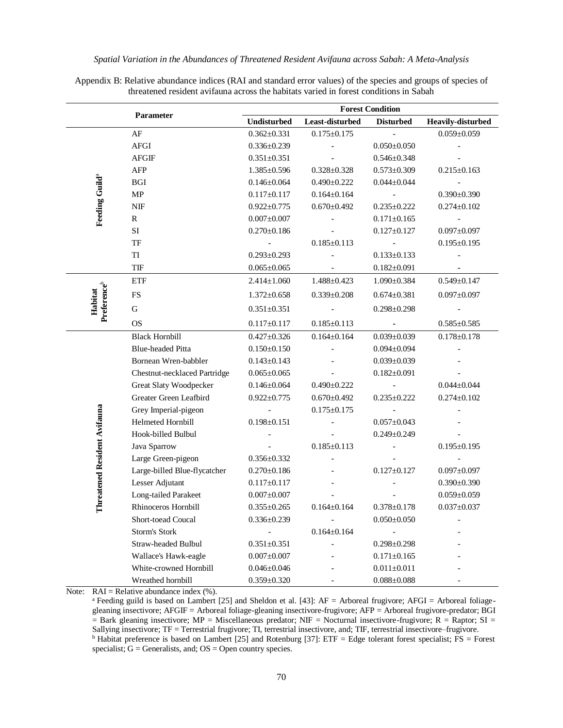Appendix B: Relative abundance indices (RAI and standard error values) of the species and groups of species of threatened resident avifauna across the habitats varied in forest conditions in Sabah

| Parameter                    |                              | <b>Forest Condition</b>  |                          |                          |                          |  |  |
|------------------------------|------------------------------|--------------------------|--------------------------|--------------------------|--------------------------|--|--|
|                              |                              | <b>Undisturbed</b>       | Least-disturbed          | <b>Disturbed</b>         | Heavily-disturbed        |  |  |
|                              | AF                           | $0.362 \pm 0.331$        | $0.175 \pm 0.175$        |                          | $0.059 \pm 0.059$        |  |  |
|                              | AFGI                         | $0.336 \pm 0.239$        |                          | $0.050 \pm 0.050$        |                          |  |  |
|                              | ${\rm AFGF}$                 | $0.351 \pm 0.351$        |                          | $0.546 \pm 0.348$        |                          |  |  |
|                              | AFP                          | $1.385 \pm 0.596$        | $0.328 \pm 0.328$        | $0.573 \pm 0.309$        | $0.215 \pm 0.163$        |  |  |
|                              | $_{\rm BGI}$                 | $0.146 \pm 0.064$        | $0.490 \pm 0.222$        | $0.044 \pm 0.044$        |                          |  |  |
|                              | MP                           | $0.117 \pm 0.117$        | $0.164 \pm 0.164$        | $\overline{\phantom{a}}$ | $0.390 \pm 0.390$        |  |  |
| Feeding Guild <sup>a</sup>   | $\ensuremath{\text{NIF}}$    | $0.922 \pm 0.775$        | $0.670 \pm 0.492$        | $0.235 \pm 0.222$        | $0.274 \pm 0.102$        |  |  |
|                              | ${\bf R}$                    | $0.007 \pm 0.007$        | $\overline{\phantom{0}}$ | $0.171 \pm 0.165$        | $\overline{\phantom{a}}$ |  |  |
|                              | SI                           | $0.270 \pm 0.186$        |                          | $0.127 \pm 0.127$        | $0.097 \pm 0.097$        |  |  |
|                              | TF                           | $\overline{\phantom{a}}$ | $0.185 \pm 0.113$        | $\overline{\phantom{a}}$ | $0.195 \pm 0.195$        |  |  |
|                              | TI                           | $0.293 \pm 0.293$        |                          | $0.133 \pm 0.133$        |                          |  |  |
|                              | TIF                          | $0.065 \pm 0.065$        |                          | $0.182 \pm 0.091$        |                          |  |  |
|                              | <b>ETF</b>                   | $2.414 \pm 1.060$        | $1.488 \pm 0.423$        | $1.090 \pm 0.384$        | $0.549 \pm 0.147$        |  |  |
|                              | <b>FS</b>                    | $1.372 \pm 0.658$        | $0.339 \pm 0.208$        | $0.674 \pm 0.381$        | $0.097 \pm 0.097$        |  |  |
| Preferenceb<br>Habitat       | ${\bf G}$                    | $0.351 \pm 0.351$        |                          | $0.298 \pm 0.298$        |                          |  |  |
|                              | <b>OS</b>                    | $0.117 \pm 0.117$        | $0.185 \pm 0.113$        |                          | $0.585 \pm 0.585$        |  |  |
|                              | <b>Black Hornbill</b>        | $0.427 \pm 0.326$        | $0.164 \pm 0.164$        | $0.039 \pm 0.039$        | $0.178 \pm 0.178$        |  |  |
|                              | <b>Blue-headed Pitta</b>     | $0.150 \pm 0.150$        |                          | $0.094 \pm 0.094$        |                          |  |  |
|                              | Bornean Wren-babbler         | $0.143 \pm 0.143$        |                          | $0.039 \pm 0.039$        |                          |  |  |
|                              | Chestnut-necklaced Partridge | $0.065 \pm 0.065$        |                          | $0.182 \pm 0.091$        |                          |  |  |
|                              | Great Slaty Woodpecker       | $0.146 \pm 0.064$        | $0.490 \pm 0.222$        | $\overline{\phantom{a}}$ | $0.044 \pm 0.044$        |  |  |
|                              | Greater Green Leafbird       | $0.922 \pm 0.775$        | $0.670 \pm 0.492$        | $0.235 \pm 0.222$        | $0.274 \pm 0.102$        |  |  |
|                              | Grey Imperial-pigeon         | $\overline{\phantom{a}}$ | $0.175 \pm 0.175$        | $\overline{\phantom{a}}$ |                          |  |  |
|                              | Helmeted Hornbill            | $0.198 \pm 0.151$        |                          | $0.057 \pm 0.043$        |                          |  |  |
|                              | Hook-billed Bulbul           | $\overline{a}$           |                          | $0.249 \pm 0.249$        |                          |  |  |
| Threatened Resident Avifauna | Java Sparrow                 |                          | $0.185 \pm 0.113$        |                          | $0.195 \pm 0.195$        |  |  |
|                              | Large Green-pigeon           | $0.356 \pm 0.332$        |                          |                          |                          |  |  |
|                              | Large-billed Blue-flycatcher | $0.270 \pm 0.186$        |                          | $0.127 \pm 0.127$        | $0.097 \pm 0.097$        |  |  |
|                              | Lesser Adjutant              | $0.117 \pm 0.117$        |                          |                          | $0.390 \pm 0.390$        |  |  |
|                              | Long-tailed Parakeet         | $0.007 \pm 0.007$        |                          |                          | $0.059 \pm 0.059$        |  |  |
|                              | Rhinoceros Hornbill          | $0.355 \pm 0.265$        | $0.164 \pm 0.164$        | $0.378 \pm 0.178$        | $0.037 \pm 0.037$        |  |  |
|                              | Short-toead Coucal           | $0.336 \pm 0.239$        |                          | $0.050 \pm 0.050$        |                          |  |  |
|                              | Storm's Stork                |                          | $0.164 \pm 0.164$        |                          |                          |  |  |
|                              | <b>Straw-headed Bulbul</b>   | $0.351 \pm 0.351$        |                          | $0.298 \pm 0.298$        |                          |  |  |
|                              | Wallace's Hawk-eagle         | $0.007 \pm 0.007$        |                          | $0.171 \pm 0.165$        |                          |  |  |
|                              | White-crowned Hornbill       | $0.046 \pm 0.046$        |                          | $0.011 \pm 0.011$        |                          |  |  |
|                              | Wreathed hornbill            | $0.359 \pm 0.320$        |                          | $0.088 \pm 0.088$        |                          |  |  |

Note:  $RAI = Relative abundance index (\%).$ 

a Feeding guild is based on Lambert [25] and Sheldon et al. [43]: AF = Arboreal frugivore; AFGI = Arboreal foliagegleaning insectivore; AFGIF = Arboreal foliage-gleaning insectivore-frugivore; AFP = Arboreal frugivore-predator; BGI  $=$  Bark gleaning insectivore; MP = Miscellaneous predator; NIF = Nocturnal insectivore-frugivore; R = Raptor; SI = Sallying insectivore; TF = Terrestrial frugivore; TI, terrestrial insectivore, and; TIF, terrestrial insectivore–frugivore.  $\overline{b}$  Habitat preference is based on Lambert [25] and Rotenburg [37]: ETF = Edge tolerant forest specialist; FS = Forest specialist;  $G =$  Generalists, and;  $OS =$  Open country species.